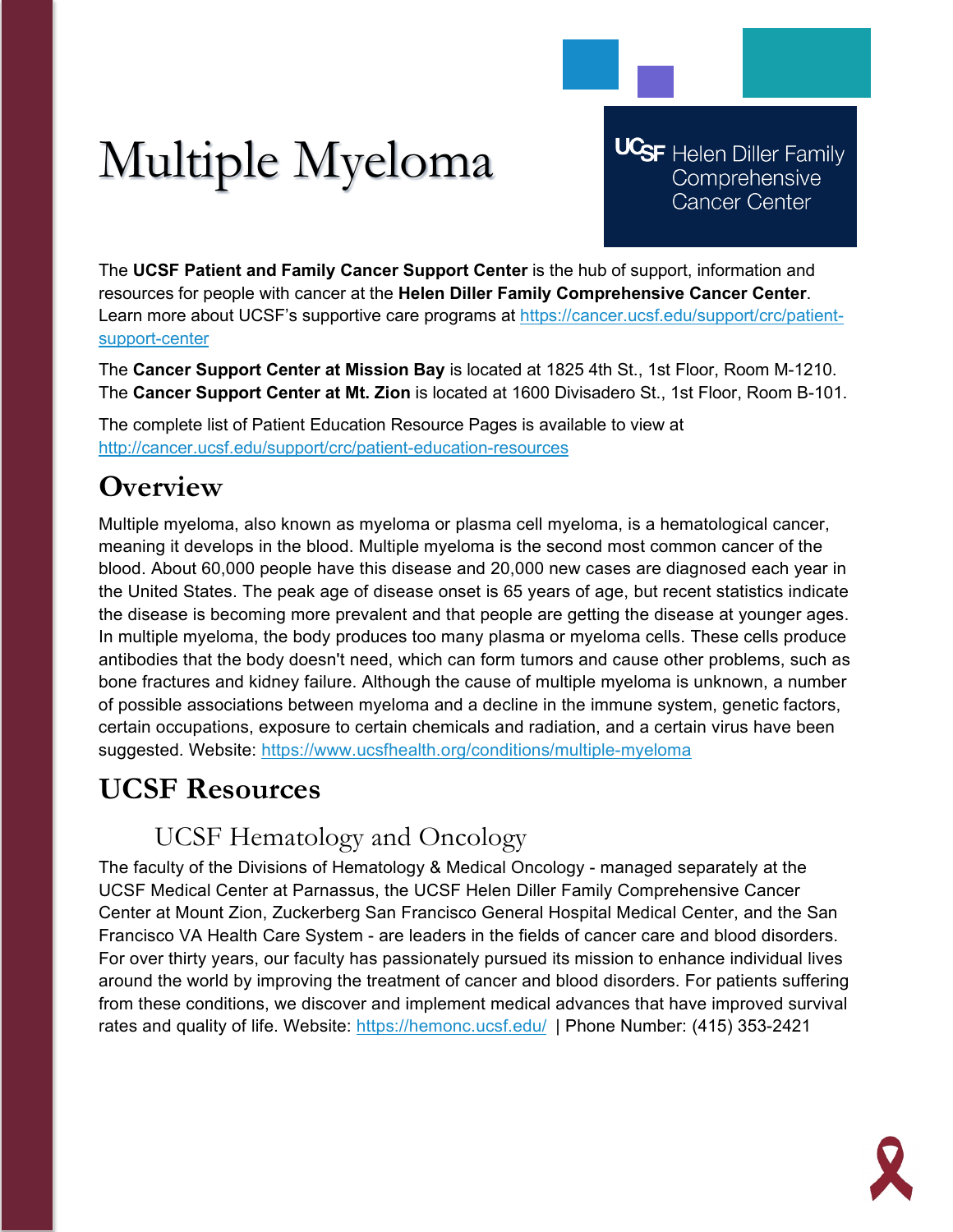# Multiple Myeloma

**UCSF** Helen Diller Family Comprehensive **Cancer Center** 

The **UCSF Patient and Family Cancer Support Center** is the hub of support, information and resources for people with cancer at the **Helen Diller Family Comprehensive Cancer Center**. Learn more about UCSF's supportive care programs at [https://cancer.ucsf.edu/support/crc/patient](https://cancer.ucsf.edu/support/crc/patient-support-center)[support-center](https://cancer.ucsf.edu/support/crc/patient-support-center)

The **Cancer Support Center at Mission Bay** is located at 1825 4th St., 1st Floor, Room M-1210. The **Cancer Support Center at Mt. Zion** is located at 1600 Divisadero St., 1st Floor, Room B-101.

The complete list of Patient Education Resource Pages is available to view at <http://cancer.ucsf.edu/support/crc/patient-education-resources>

## **Overview**

Multiple myeloma, also known as myeloma or plasma cell myeloma, is a hematological cancer, meaning it develops in the blood. Multiple myeloma is the second most common cancer of the blood. About 60,000 people have this disease and 20,000 new cases are diagnosed each year in the United States. The peak age of disease onset is 65 years of age, but recent statistics indicate the disease is becoming more prevalent and that people are getting the disease at younger ages. In multiple myeloma, the body produces too many plasma or myeloma cells. These cells produce antibodies that the body doesn't need, which can form tumors and cause other problems, such as bone fractures and kidney failure. Although the cause of multiple myeloma is unknown, a number of possible associations between myeloma and a decline in the immune system, genetic factors, certain occupations, exposure to certain chemicals and radiation, and a certain virus have been suggested. Website:<https://www.ucsfhealth.org/conditions/multiple-myeloma>

## **UCSF Resources**

### UCSF Hematology and Oncology

The faculty of the Divisions of Hematology & Medical Oncology - managed separately at the UCSF Medical Center at Parnassus, the UCSF Helen Diller Family Comprehensive Cancer Center at Mount Zion, Zuckerberg San Francisco General Hospital Medical Center, and the San Francisco VA Health Care System - are leaders in the fields of cancer care and blood disorders. For over thirty years, our faculty has passionately pursued its mission to enhance individual lives around the world by improving the treatment of cancer and blood disorders. For patients suffering from these conditions, we discover and implement medical advances that have improved survival rates and quality of life. Website:<https://hemonc.ucsf.edu/>| Phone Number: (415) 353-2421

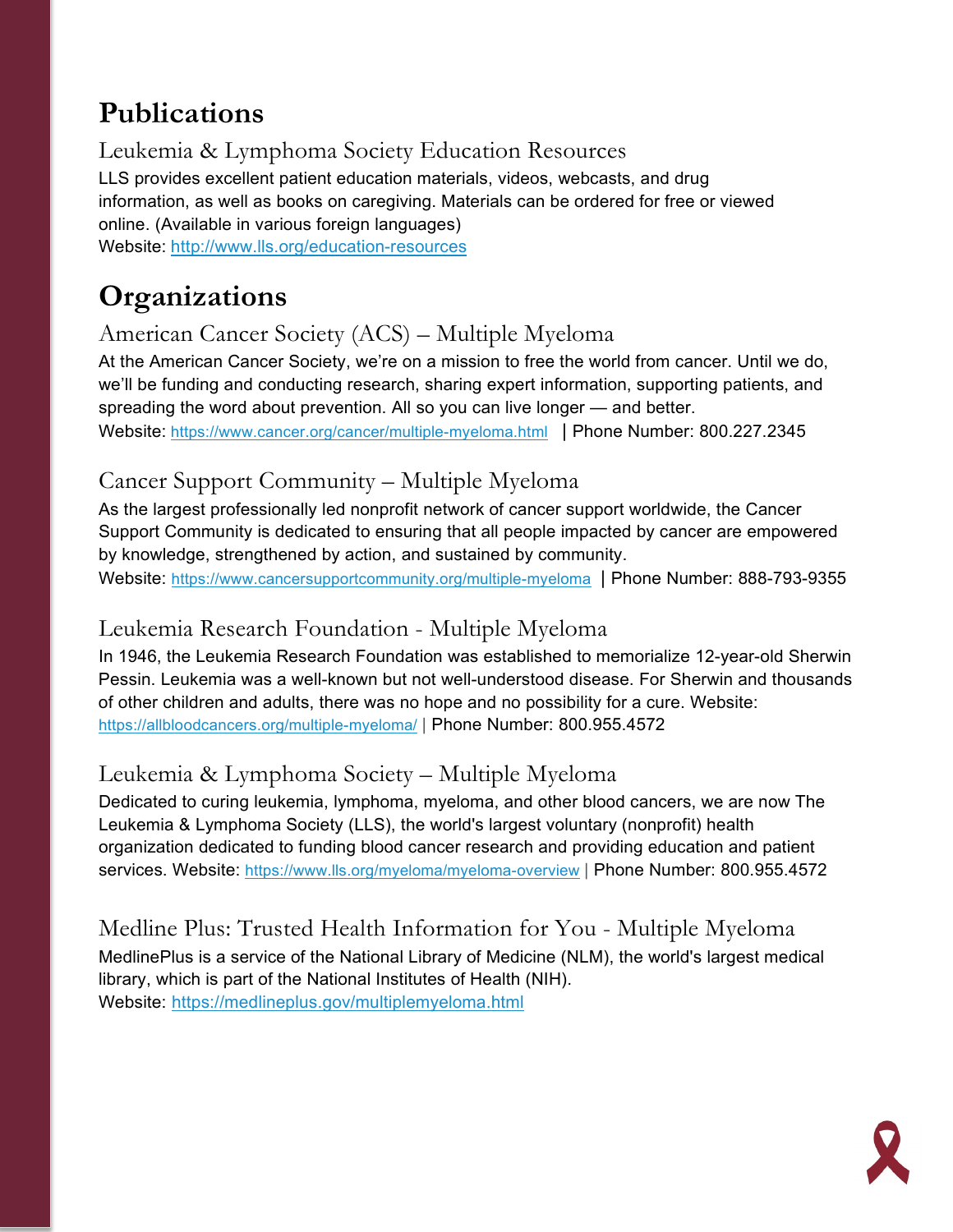## **Publications**

Leukemia & Lymphoma Society Education Resources LLS provides excellent patient education materials, videos, webcasts, and drug information, as well as books on caregiving. Materials can be ordered for free or viewed online. (Available in various foreign languages)

Website: <http://www.lls.org/education-resources>

## **Organizations**

#### American Cancer Society (ACS) – Multiple Myeloma

At the American Cancer Society, we're on a mission to free the world from cancer. Until we do, we'll be funding and conducting research, sharing expert information, supporting patients, and spreading the word about prevention. All so you can live longer — and better. Website: <https://www.cancer.org/cancer/multiple-myeloma.html> | Phone Number: 800.227.2345

#### Cancer Support Community – Multiple Myeloma

As the largest professionally led nonprofit network of cancer support worldwide, the Cancer Support Community is dedicated to ensuring that all people impacted by cancer are empowered by knowledge, strengthened by action, and sustained by community.

Website:<https://www.cancersupportcommunity.org/multiple-myeloma> | Phone Number: 888-793-9355

#### Leukemia Research Foundation - Multiple Myeloma

In 1946, the Leukemia Research Foundation was established to memorialize 12-year-old Sherwin Pessin. Leukemia was a well-known but not well-understood disease. For Sherwin and thousands of other children and adults, there was no hope and no possibility for a cure. Website: <https://allbloodcancers.org/multiple-myeloma/> | Phone Number: 800.955.4572

#### Leukemia & Lymphoma Society – Multiple Myeloma

Dedicated to curing leukemia, lymphoma, myeloma, and other blood cancers, we are now The Leukemia & Lymphoma Society (LLS), the world's largest voluntary (nonprofit) health organization dedicated to funding blood cancer research and providing education and patient services. Website:<https://www.lls.org/myeloma/myeloma-overview> | Phone Number: 800.955.4572

Medline Plus: Trusted Health Information for You - Multiple Myeloma MedlinePlus is a service of the National Library of Medicine (NLM), the world's largest medical library, which is part of the National Institutes of Health (NIH). Website: <https://medlineplus.gov/multiplemyeloma.html>